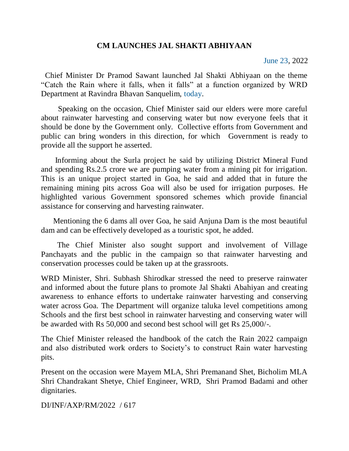## **CM LAUNCHES JAL SHAKTI ABHIYAAN**

 Chief Minister Dr Pramod Sawant launched Jal Shakti Abhiyaan on the theme "Catch the Rain where it falls, when it falls" at a function organized by WRD Department at Ravindra Bhavan Sanquelim, today.

 Speaking on the occasion, Chief Minister said our elders were more careful about rainwater harvesting and conserving water but now everyone feels that it should be done by the Government only. Collective efforts from Government and public can bring wonders in this direction, for which Government is ready to provide all the support he asserted.

 Informing about the Surla project he said by utilizing District Mineral Fund and spending Rs.2.5 crore we are pumping water from a mining pit for irrigation. This is an unique project started in Goa, he said and added that in future the remaining mining pits across Goa will also be used for irrigation purposes. He highlighted various Government sponsored schemes which provide financial assistance for conserving and harvesting rainwater.

 Mentioning the 6 dams all over Goa, he said Anjuna Dam is the most beautiful dam and can be effectively developed as a touristic spot, he added.

 The Chief Minister also sought support and involvement of Village Panchayats and the public in the campaign so that rainwater harvesting and conservation processes could be taken up at the grassroots.

WRD Minister, Shri. Subhash Shirodkar stressed the need to preserve rainwater and informed about the future plans to promote Jal Shakti Abahiyan and creating awareness to enhance efforts to undertake rainwater harvesting and conserving water across Goa. The Department will organize taluka level competitions among Schools and the first best school in rainwater harvesting and conserving water will be awarded with Rs 50,000 and second best school will get Rs 25,000/-.

The Chief Minister released the handbook of the catch the Rain 2022 campaign and also distributed work orders to Society's to construct Rain water harvesting pits.

Present on the occasion were Mayem MLA, Shri Premanand Shet, Bicholim MLA Shri Chandrakant Shetye, Chief Engineer, WRD, Shri Pramod Badami and other dignitaries.

DI/INF/AXP/RM/2022 / 617